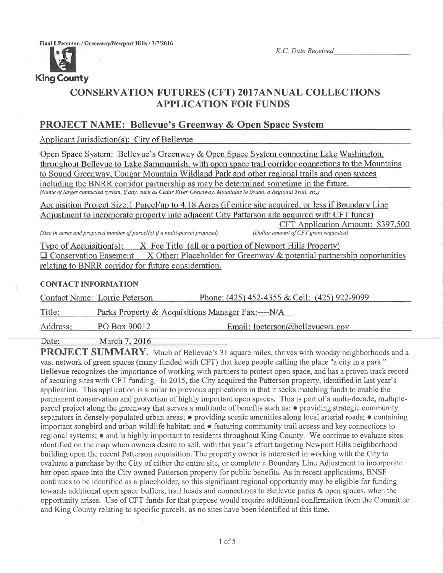Final LPeterson / Greenway/Newport Hills / 3/7/2016

K.C. Date Received



## CONSERVATTON FUTURES (CFT) 2O17ANNUAL COLLECTTONS APPLICATION FOR FUNDS

## PROJECT NAME: Bellevue's Greenwav & Onen Space Svstem

Applicant Jurisdiction(s): City of Bellevue

Open Space System: Bellevue's Greenway & Open Space System connecting Lake Washington, throughout Bellevue to Lake Sammamish, with open space trail corridor connections to the Mountains to Sound Greenway. Cougar Mountain Wildland Park and other regional trails and open spaces includine the BNRR corridor partnership as mav be determined sometime in the future. (Name of larger connected system, ifany, such as Cedar River Greenway, Mountains to Sound, a Regional Trail, etc)

Acquisition Project Size:1 Parcel/up to 4.18 Acres (if entire site acquired, or less if Boundary Line Adjustment to incorporate property into adjacent City Patterson site acquired with CFT funds)

(Size in acres and proposed number of parcel(s) if a multi-parcel proposal)

CFT Application Amount: \$397,500<br>(Dollar amount of CFT grant requested)

Type of Acquisition(s): X Fee Title (all or a portion of Newport Hills Property)  $\Box$  Conservation Easement X Other: Placeholder for Greenway & potential partnership opportunities relatine to BNRR corridor for future consideration.

#### CONTACT INFORMATION

Contact Name: Lorrie Peterson Phone: (425) 452-4355 & Cell: (425) 922-9099

Title: Parks Property & Acquisitions Manager Fax:----N/A

Address: PO Box 90012 Email: lpeterson@bellevuewa.gov

Date: March 7, 2016

PROJECT SUMMARY. Much of Bellevue's 31 square miles, thrives with woodsy neighborhoods and a vast network of green spaces (many funded with CFT) that keep people calling the place "a city in a park." Bellevue recognizes the importance of working with partners to protect open space, and has a proven track record of securing sites with CFT funding. In 2015, the City acquired the Patterson property, identified in last year's application. This application is similar to previous applications in that it seeks matching funds to enable the permanent conservation and protection of highly important open spaces. This is part of a multi-decade, multipleparcel project along the greenway that serves a multitude of benefits such as:  $\bullet$  providing strategic community separators in densely-populated urban areas;  $\bullet$  providing scenic amenities along local arterial roads;  $\bullet$  containing important songbird and urban wildlife habitat; and  $\bullet$  featuring community trail access and key connections to regional systems; o and is highly important to residents throughout King County. We continue to evaluate sites identified on the map when owners desire to sell, with this year's effort targeting Newport Hills neighborhood building upon the recent Patterson acquisition. The property owner is interested in working with the City to evaluate a purchase by the City of either the entire site, or complete a Boundary Line Adjustment to incorporate her open space into the City owned Patterson property for public benefits. As in recent applications, BNSF continues to be identified as a placeholder, so this significant regional opportunity may be eligible for funding towards additional open space buffers, trail heads and connections to Bellevue parks & open spaces, when the opportunity arises. Use of CFT funds for that purpose would require additional confirmation from the Committee and King County relating to specific parcels, as no sites have been identified at this time.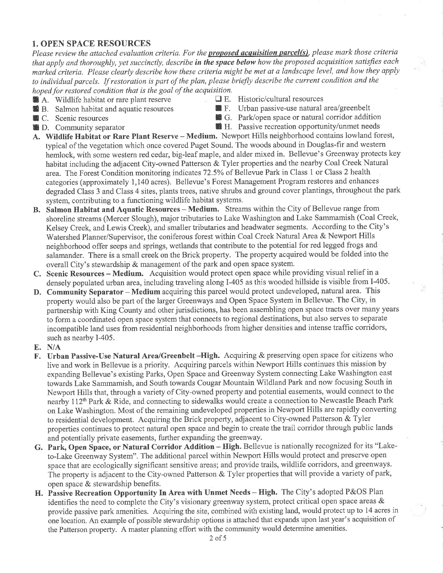### 1. OPEN SPACE RESOURCES

Please review the attached evaluation criteria. For the **proposed acquisition parcel(s)**, please mark those criteria that apply and thoroughly, yet succinctly, describe in the space below how the proposed acquisition satisfies each marked criteria. Please clearly describe how these criteria might be met at a landscape level, and how they apply to individual parcels. If restoration is part of the plan, please briefly describe the current condition and the hoped for restored condition that is the goal of the acquisition.<br>A. Wildlife habitat or rare plant reserve  $\Box$  E. Historic/cultural resources

- 
- **E** B. Salmon habitat and aquatic resources
- 
- 
- 
- A. Wildlife habitat or rare plant reserve  $\Box$  E. Historic/cultural resources<br> **E.** Urban passive-use natural area/greenbelt
- ¡ C. Scenic resources ¡ G. Park/open space or natural corridor addition
	- **th** H. Passive recreation opportunity/unmet needs
- A. Wildlife Habitat or Rare Plant Reserve Medium. Newport Hills neighborhood contains lowland forest, typical of the vegetation which once covered Puget Sound. The woods abound in Douglas-fir and western hemlock, with some western red cedar, big-leaf maple, and alder mixed in. Bellevue's Greenway protects key habitat including the adjacent City-owned Patterson & Tyler properties and the nearby Coal Creek Natural area. The Forest Condition monitoring indicates 72.5% of Bellevue Park in Class 1 or Class 2 health categories (approximately 1,140 acres). Bellevue's Forest Management Program testores and enhances degraded Class 3 and Class 4 sites, plants trees, native shrubs and ground cover plantings, throughout the park system, contributing to a functioning wildlife habitat systems.
- B. Salmon Habitat and Aquatic Resources Medium. Streams within the City of Bellevue range from shoreline streams (Mercer Slough), major tributaries to Lake Washington and Lake Sammamish (Coal Creek, Kelsey Creek, and Lewis Creek), and smaller tributaries and headwater segments. According to the City's Watershed Planner/Supervisor, the coniferous forest within Coal Creek Natural Area & Newport Hills neighborhood offer seeps and springs, wetlands that contribute to the potential for red legged frogs and salamander. There is a small creek on the Brick property. The property acquired would be folded into the overall City's stewardship & management of the park and open space system.
- C. Scenic Resources Medium. Acquisition would protect open space while providing visual relief in <sup>a</sup> densely populated urban area, including traveling along I-405 as this wooded hillside is visible from 1405.
- D. Community Separator Medium acquiring this parcel would protect undeveloped, natural area. This property would also be part of the larger Greenways and Open Space System in Bellevue. The City, in partnership with King County and other jurisdictions, has been assembling open space tracts over many years to form a coordinated open space system that connects to regional destinations, but also serves to separate incompatible land uses from residential neighborhoods from higher densities and intense traffic corridors, such as nearby I-405.
- E. N/A
- F. Urban Passive-Use Natural Area/Greenbelt -High. Acquiring & preserving open space for citizens who live and work in Bellevue is a priority. Acquiring parcels within Newport Hills continues this mission by expanding Bellevue's existing Parks, Open Space and Greenway System connecting Lake Washington east towards Lake Sammamish, and South towards Cougar Mountain Wildland Park and now focusing South in Newport Hills that, through a variety of City-owned property and potential easements, would connect to the nearby 112th Park & Ride, and connecting to sidewalks would create a connection to Newcastle Beach Park on Lake'Washington. Most of the remaining undeveloped properties in Newport Hills are rapidly converting to residential development. Acquiring the Brick property, adjacent to City-owned Patterson & Tyler properties continues to protect natural open space and begin to create the trail corridor through public lands and potentially private easements, further expanding the greenway.
- G. Park, Open Space, or Natural Corridor Addition High. Bellevue is nationally recognized for its "Laketo-Lake Greenway System". The additional parcel within Newport Hills would protect and preserve open space that are ecologically significant sensitive areas; and provide trails, wildlife corridors, and greenways. The property is adjacent to the City-owned Patterson & Tyler properties that will provide a variety of park, open space & stewardship benefits.
- H. Passive Recreation Opportunity In Area with Unmet Needs High. The City's adopted P&OS Plan identifies the need to complete the City's visionary greenway system, protect critical open space areas & provide passive park amenities. Acquiring the site, combined with existing land, would protect up to 14 acres in one'location. An example of possible stewardship options is attached that expands upon last year's acquisition of the Patterson property. A master planning effort with the community would determine amenities.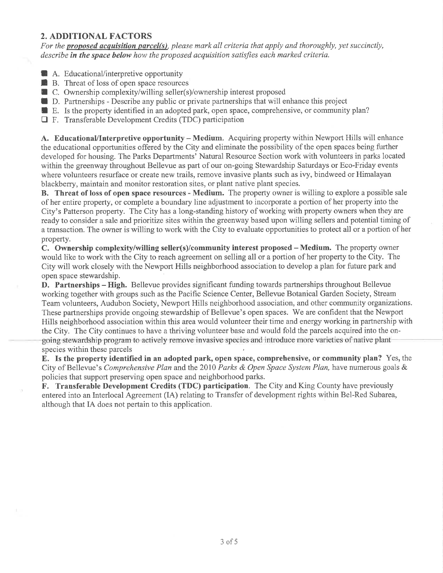## 2. ADDITIONAL FACTORS

For the **proposed acquisition parcel(s)**, please mark all criteria that apply and thoroughly, yet succinctly, describe in the space below how the proposed acquisition satisfies each marked criteria.

- A. Educational/interpretive opportunity<br>■ B. Threat of loss of open space resource
- $\blacksquare$  B. Threat of loss of open space resources
- C. Ownership complexity/willing seller(s)/ownership interest proposed<br>■ D. Partnerships Describe any public or private partnerships that will e<br>■ E. Is the property identified in an adopted park, open space, comprehen
- $\blacksquare$  D. Partnerships Describe any public or private partnerships that will enhance this project
- $\blacksquare$  E. Is the property identified in an adopted park, open space, comprehensive, or community plan?
- $\Box$  F. Transferable Development Credits (TDC) participation

A. Educational/Interpretive opportunity - Medium. Acquiring property within Newport Hills will enhance the educational opportunities offered by the City and eliminate the possibility of the open spaces being further developed for housing. The Parks Departments' Natural Resource Section work with volunteers in parks located within the greenway throughout Bellevue as part of our on-going Stewardship Saturdays or Eco-Friday events where volunteers resurface or create new trails, remove invasive plants such as ivy, bindweed or Himalayan blackberry, maintain and monitor restoration sites, or plant native plant species.

B. Threat of loss of open space resources - Medium. The property owner is willing to explore a possible sale of her entire property, or complete a boundary line adjustment to incorporate a portion of her property into the City's Patterson property. The City has a long-standing history of working with property owners when they are ready to consider a sale and prioritize sites within the greenway based upon willing sellers and potential timing of a transaction. The owner is willing to work with the City to evaluate opportunities to protect all or a portion of her property.

C. Ownership complexity/willing seller(s)/community interest proposed - Medium. The property owner would like to work with the City to reach agreement on selling all or a portion of her property to the City. The City will work closely with the Newport Hills neighborhood association to develop a plan for future park and open space stewardship.

**D.** Partnerships – High. Bellevue provides significant funding towards partnerships throughout Bellevue working together with groups such as the Pacific Science Center, Bellevue Botanical Garden Society, Stream Team volunteers, Audubon Society, Newport Hills neighborhood association, and other community organizations. These partnerships provide ongoing stewardship of Bellevue's open spaces. We are confident that the Newport Hills neighborhood association within this area would volunteer their time and energy working in partnership with the City. The City continues to have a thriving volunteer base and would fold the parcels acquired into the ongoing stewardship program to actively remove invasive species and introduce more varieties of native plant species within these parcels

E. Is the property identified in an adopted park, open space, comprehensive, or community plan? Yes, the City of Bellevue's Comprehensive Plan and the 2010 Parks & Open Space System Plan, have numerous goals & policies that support preserving open space and neighborhood parks.

F. Transferable Development Credits (TDC) participation. The City and King County have previously entered into an Interlocal Agreement (IA) relating to Transfer of development rights within Bel-Red Subarea, although that IA does not pertain to this application.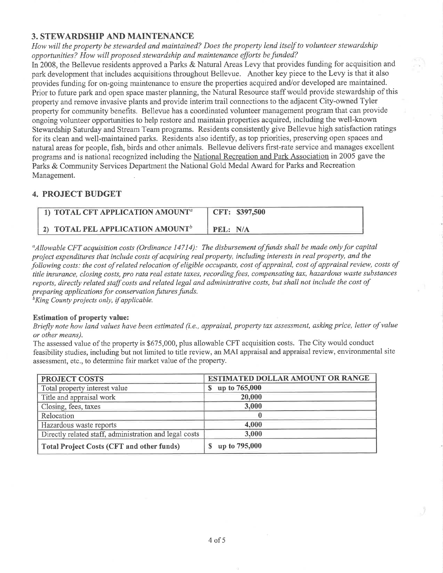### 3. STEWARDSHIP AND MAINTENANCE

How will the property be stewarded and maintained? Does the property lend itself to volunteer stewardship opportunities? How will proposed stewardship and maintenance efforts be funded?

In 2008, the Bellevue residents approved a Parks & Natural Areas Levy that provides funding for acquisition and park development that includes acquisitions throughout Bellevue. Another key piece to the Levy is that it also provides funding for on-going maintenance to ensure the properties acquired and/or developed are maintained. Prior to future park and open space master planning, the Natural Resource staff would provide stewardship of this property and remove invasive plants and provide interim trail connections to the adjacent City-owned Tyler property for community benefits. Bellevue has a coordinated volunteer management program that can provide ongoing volunteer opporlunities to help restore and maintain properties acquired, including the well-known Stewardship Saturday and Stream Team programs. Residents consistently give Bellevue high satisfaction ratings for its clean and well-maintained parks. Residents also identify, as top priorities, preserving open spaces and natural areas for people, fish, birds and other animals. Bellevue delivers first-rate service and manages excellent programs and is national recognized including the National Recreation and Park Association in 2005 gave the Parks & Community Services Department the National Gold Medal Award for Parks and Recreation Management.

#### 4. PROJECT BUDGET

| 1) TOTAL CFT APPLICATION AMOUNT <sup>a</sup> | CFT: \$397,500 |
|----------------------------------------------|----------------|
| 2) TOTAL PEL APPLICATION AMOUNT <sup>b</sup> | PEL: N/A       |

 $a_A$ llowable CFT acquisition costs (Ordinance 14714): The disbursement of funds shall be made only for capital project expenditures that include costs of acquiring real property, including interests in real property, and the following costs: the cost of related relocation of eligible occupants, cost of appraisal, cost of appraisal review, costs of title insurance, closing costs, pro rata real estate taxes, recording fees, compensating tax, hazardous waste substances reports, directly related staff costs and related legal and administrative costs, but shall not include the cost of preparing applications for conservation futures funds.

 ${}^{\text{b}}$ King County projects only, if applicable.

#### Estimation of property value:

Briefly note how land values have been estimated (i.e., appraisal, property tax assessment, asking price, letter of value or other meøns).

The assessed value of the property is \$675,000, plus allowable CFT acquisition costs. The City would conduct feasibility studies, including but not limited to title review, an MAI appraisal and appraisal review, environmental site assessment, etc., to determine fair market value of the property.

| <b>PROJECT COSTS</b>                                   | ESTIMATED DOLLAR AMOUNT OR RANGE |  |  |
|--------------------------------------------------------|----------------------------------|--|--|
| Total property interest value                          | up to 765,000<br>S.              |  |  |
| Title and appraisal work                               | 20,000                           |  |  |
| Closing, fees, taxes                                   | 3,000                            |  |  |
| Relocation                                             |                                  |  |  |
| Hazardous waste reports                                | 4,000                            |  |  |
| Directly related staff, administration and legal costs | 3,000                            |  |  |
| <b>Total Project Costs (CFT and other funds)</b>       | up to 795,000                    |  |  |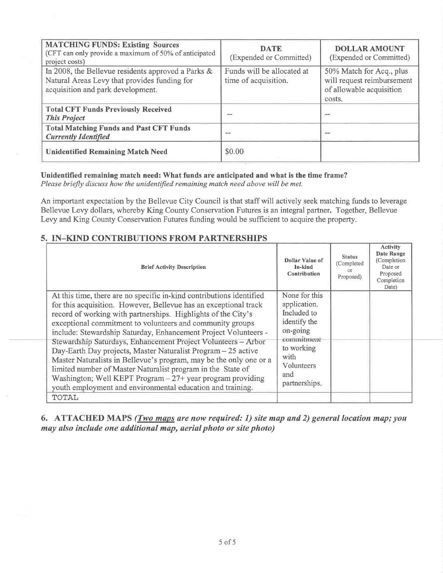| <b>MATCHING FUNDS: Existing Sources</b><br>(CFT can only provide a maximum of 50% of anticipated<br>project costs)                      | <b>DATE</b><br>(Expended or Committed)             | <b>DOLLAR AMOUNT</b><br>(Expended or Committed)                                              |  |
|-----------------------------------------------------------------------------------------------------------------------------------------|----------------------------------------------------|----------------------------------------------------------------------------------------------|--|
| In 2008, the Bellevue residents approved a Parks &<br>Natural Areas Levy that provides funding for<br>acquisition and park development. | Funds will be allocated at<br>time of acquisition. | 50% Match for Acq., plus<br>will request reimbursement<br>of allowable acquisition<br>costs. |  |
| <b>Total CFT Funds Previously Received</b><br><b>This Project</b>                                                                       | m                                                  | $\overline{\phantom{a}}$                                                                     |  |
| <b>Total Matching Funds and Past CFT Funds</b><br><b>Currently Identified</b>                                                           | $\sim$                                             | data sa                                                                                      |  |
| <b>Unidentified Remaining Match Need</b>                                                                                                | \$0.00                                             |                                                                                              |  |

#### Unidentified remaining match need: What funds are anticipated and what is the time frame?

Please briefly discuss how the unidentified remaining match need above will be met.

An important expectation by the Bellevue City Council is that staff will actively seek matching funds to leverage Bellevue Levy dollars, whereby King County Conservation Futures is an integral partner. Together, Bellevue Levy and King County Conservation Futures funding would be sufficient to acquire the property.

٦

# 5. IN-KIND CONTRIBUTIONS FROM PARTNERSHIPS

| <b>Brief Activity Description</b>                                                                                                                                                                                                                                                                                                                                                                                                                                                                                                                                                                                                                                                                                                              | Dollar Value of<br>In-kind<br><b>Contribution</b>                                                                                                  | <b>Status</b><br>(Completed)<br>$\Omega$<br>Proposed) | ACHVILY<br>Date Range<br>(Completion<br>Date or<br>Proposed<br>Completion<br>Date) |
|------------------------------------------------------------------------------------------------------------------------------------------------------------------------------------------------------------------------------------------------------------------------------------------------------------------------------------------------------------------------------------------------------------------------------------------------------------------------------------------------------------------------------------------------------------------------------------------------------------------------------------------------------------------------------------------------------------------------------------------------|----------------------------------------------------------------------------------------------------------------------------------------------------|-------------------------------------------------------|------------------------------------------------------------------------------------|
| At this time, there are no specific in-kind contributions identified<br>for this acquisition. However, Bellevue has an exceptional track<br>record of working with partnerships. Highlights of the City's<br>exceptional commitment to volunteers and community groups<br>include: Stewardship Saturday, Enhancement Project Volunteers -<br>Stewardship Saturdays, Enhancement Project Volunteers - Arbor<br>Day-Earth Day projects, Master Naturalist Program – 25 active<br>Master Naturalists in Bellevue's program, may be the only one or a<br>limited number of Master Naturalist program in the State of<br>Washington; Well KEPT Program $-27$ + year program providing<br>youth employment and environmental education and training. | None for this<br>application.<br>Included to<br>identify the<br>on-going<br>commitment<br>to working<br>with<br>Volunteers<br>and<br>partnerships. |                                                       |                                                                                    |
| TOTAL                                                                                                                                                                                                                                                                                                                                                                                                                                                                                                                                                                                                                                                                                                                                          |                                                                                                                                                    |                                                       |                                                                                    |

6. ATTACHED MAPS (*Two maps are now required: 1) site map and 2) general location map; you* may also include one additional map, aerial photo or site photo)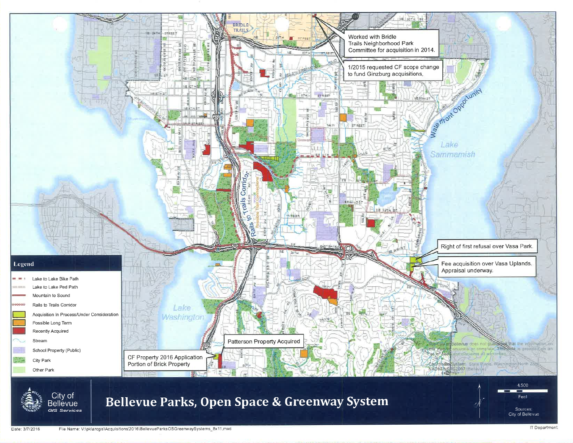

File Name: V:\pk\arcgis\Acquisitions\2016\BellevueParksOSGreenwaySystems\_8x11.mxd Date: 3/7/2016